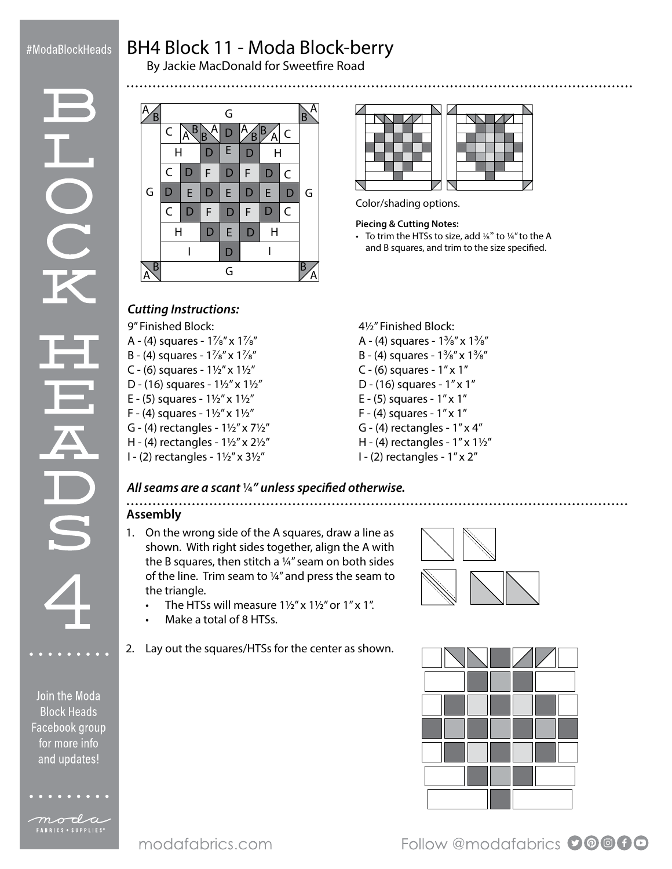## #ModaBlockHeads

**DC** 

# BH4 Block 11 - Moda Block-berry

By Jackie MacDonald for Sweetfire Road





Color/shading options.

#### **Piecing & Cutting Notes:**

• To trim the HTSs to size, add ¼" to ¼" to the A and B squares, and trim to the size specified.

#### *Cutting Instructions:*

9" Finished Block:

- A (4) squares  $1\frac{7}{8}$ " x  $1\frac{7}{8}$ "
- B (4) squares  $1\frac{7}{8}$ " x  $1\frac{7}{8}$ "
- C (6) squares  $1\frac{1}{2}$ " x  $1\frac{1}{2}$ "
- D (16) squares  $1\frac{1}{2}$ " x  $1\frac{1}{2}$ "
- E (5) squares  $1\frac{1}{2}$ " x  $1\frac{1}{2}$ "
- F (4) squares  $1\frac{1}{2}$ " x  $1\frac{1}{2}$ "
- G (4) rectangles  $1\frac{1}{2}$ " x  $7\frac{1}{2}$ "
- H (4) rectangles  $1\frac{1}{2}$ " x  $2\frac{1}{2}$ "
- I (2) rectangles 1½" x 3½"
- 4½" Finished Block:
- A (4) squares  $1\frac{3}{8}$ " x  $1\frac{3}{8}$ "
- B (4) squares  $1\frac{3}{8}$ " x  $1\frac{3}{8}$ "
- C (6) squares 1" x 1"
- D (16) squares 1" x 1"
- E (5) squares 1" x 1"
- F (4) squares 1" x 1"
- G (4) rectangles  $1'' \times 4''$
- H (4) rectangles  $1''$  x  $1\frac{1}{2}''$
- I (2) rectangles 1" x 2"

#### *All seams are a scant* ¼*" unless specified otherwise.*

#### ......... **Assembly**

- 1. On the wrong side of the A squares, draw a line as shown. With right sides together, align the A with the B squares, then stitch a ¼" seam on both sides of the line. Trim seam to ¼" and press the seam to the triangle.
	- The HTSs will measure  $1\frac{1}{2}$ " x  $1\frac{1}{2}$ " or  $1$ " x  $1$ ".
	- Make a total of 8 HTSs.
- 2. Lay out the squares/HTSs for the center as shown.





Follow @modafabrics 00000

Join the Moda **Block Heads** for more info and updates!





moda FABRICS + SUPPLIES®